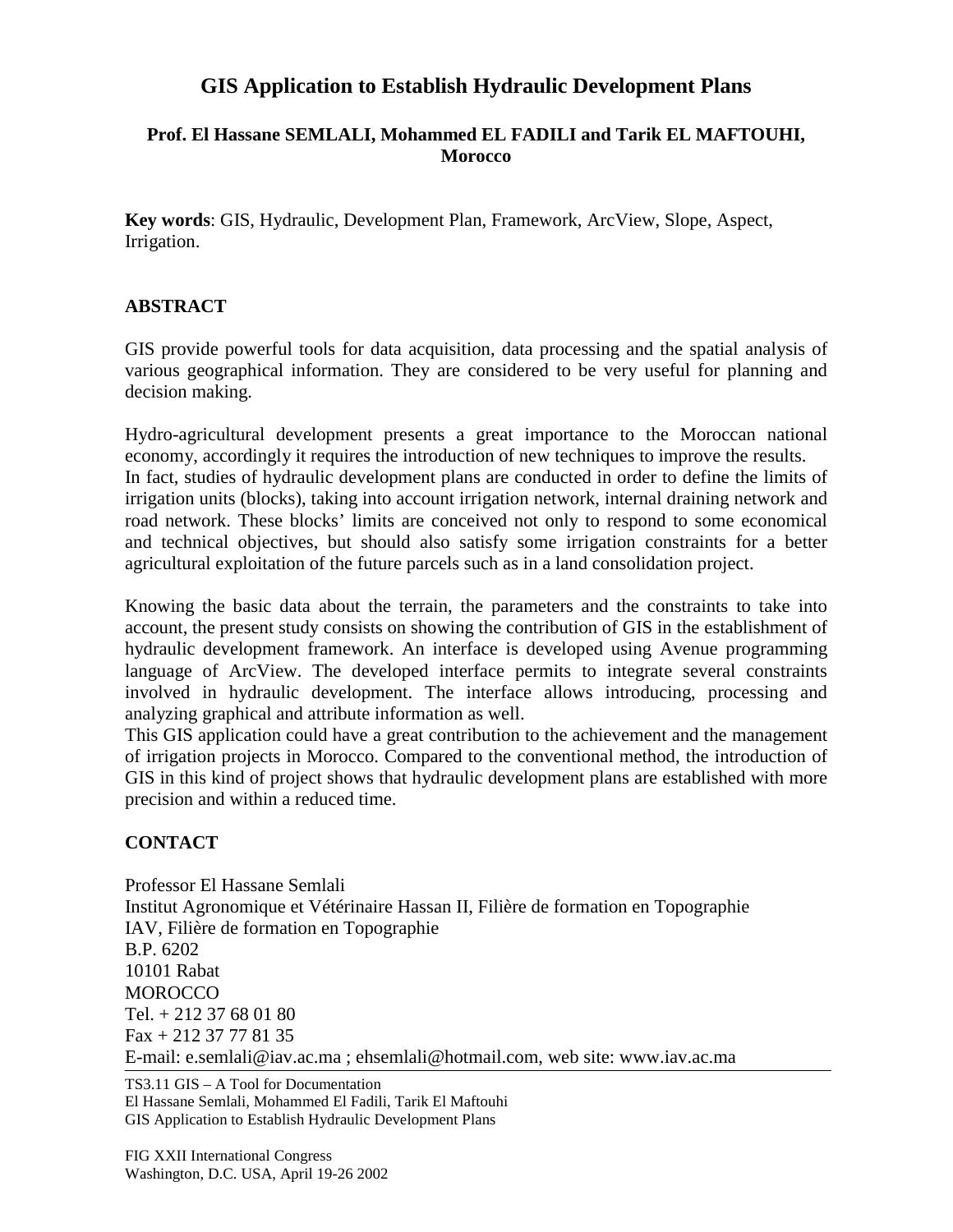## **GIS Application to Establish Hydraulic Development Plans**

## **Prof. El Hassane SEMLALI, Mohammed EL FADILI and Tarik EL MAFTOUHI, Morocco**

**Key words**: GIS, Hydraulic, Development Plan, Framework, ArcView, Slope, Aspect, Irrigation.

## **ABSTRACT**

GIS provide powerful tools for data acquisition, data processing and the spatial analysis of various geographical information. They are considered to be very useful for planning and decision making.

Hydro-agricultural development presents a great importance to the Moroccan national economy, accordingly it requires the introduction of new techniques to improve the results. In fact, studies of hydraulic development plans are conducted in order to define the limits of irrigation units (blocks), taking into account irrigation network, internal draining network and road network. These blocks' limits are conceived not only to respond to some economical and technical objectives, but should also satisfy some irrigation constraints for a better agricultural exploitation of the future parcels such as in a land consolidation project.

Knowing the basic data about the terrain, the parameters and the constraints to take into account, the present study consists on showing the contribution of GIS in the establishment of hydraulic development framework. An interface is developed using Avenue programming language of ArcView. The developed interface permits to integrate several constraints involved in hydraulic development. The interface allows introducing, processing and analyzing graphical and attribute information as well.

This GIS application could have a great contribution to the achievement and the management of irrigation projects in Morocco. Compared to the conventional method, the introduction of GIS in this kind of project shows that hydraulic development plans are established with more precision and within a reduced time.

## **CONTACT**

Professor El Hassane Semlali Institut Agronomique et Vétérinaire Hassan II, Filière de formation en Topographie IAV, Filière de formation en Topographie B.P. 6202 10101 Rabat **MOROCCO** Tel. + 212 37 68 01 80 Fax + 212 37 77 81 35 E-mail: e.semlali@iav.ac.ma ; ehsemlali@hotmail.com, web site: www.iav.ac.ma

TS3.11 GIS – A Tool for Documentation El Hassane Semlali, Mohammed El Fadili, Tarik El Maftouhi GIS Application to Establish Hydraulic Development Plans